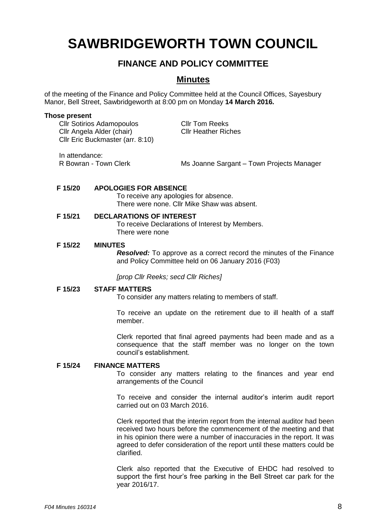# **SAWBRIDGEWORTH TOWN COUNCIL**

# **FINANCE AND POLICY COMMITTEE**

# **Minutes**

of the meeting of the Finance and Policy Committee held at the Council Offices, Sayesbury Manor, Bell Street, Sawbridgeworth at 8:00 pm on Monday **14 March 2016.**

#### **Those present**

Cllr Sotirios Adamopoulos<br>
Cllr Angela Alder (chair) Cllr Heather Riches Cllr Angela Alder (chair) Cllr Eric Buckmaster (arr. 8:10)

In attendance:

R Bowran - Town Clerk Ms Joanne Sargant – Town Projects Manager

### **F 15/20 APOLOGIES FOR ABSENCE**

To receive any apologies for absence. There were none. Cllr Mike Shaw was absent.

# **F 15/21 DECLARATIONS OF INTEREST**

To receive Declarations of Interest by Members. There were none

#### **F 15/22 MINUTES**

*Resolved:* To approve as a correct record the minutes of the Finance and Policy Committee held on 06 January 2016 (F03)

*[prop Cllr Reeks; secd Cllr Riches]*

#### **F 15/23 STAFF MATTERS**

To consider any matters relating to members of staff.

To receive an update on the retirement due to ill health of a staff member.

Clerk reported that final agreed payments had been made and as a consequence that the staff member was no longer on the town council's establishment.

#### **F 15/24 FINANCE MATTERS**

To consider any matters relating to the finances and year end arrangements of the Council

To receive and consider the internal auditor's interim audit report carried out on 03 March 2016.

Clerk reported that the interim report from the internal auditor had been received two hours before the commencement of the meeting and that in his opinion there were a number of inaccuracies in the report. It was agreed to defer consideration of the report until these matters could be clarified.

Clerk also reported that the Executive of EHDC had resolved to support the first hour's free parking in the Bell Street car park for the year 2016/17.